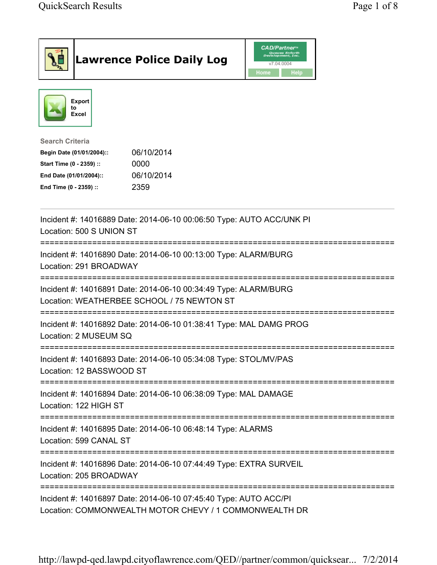| <b>Lawrence Police Daily Log</b>                                                                                                                                                 | <b>CAD/Partner</b> "<br>Queues Enforth<br>Development, Inc.<br>v7.04.0004<br><b>Home</b><br>Help |
|----------------------------------------------------------------------------------------------------------------------------------------------------------------------------------|--------------------------------------------------------------------------------------------------|
| <b>Export</b><br>to<br>Excel                                                                                                                                                     |                                                                                                  |
| <b>Search Criteria</b><br>06/10/2014<br>Begin Date (01/01/2004)::<br>0000<br>Start Time (0 - 2359) ::<br>06/10/2014<br>End Date (01/01/2004)::<br>2359<br>End Time (0 - 2359) :: |                                                                                                  |
| Incident #: 14016889 Date: 2014-06-10 00:06:50 Type: AUTO ACC/UNK PI<br>Location: 500 S UNION ST                                                                                 |                                                                                                  |
| Incident #: 14016890 Date: 2014-06-10 00:13:00 Type: ALARM/BURG<br>Location: 291 BROADWAY                                                                                        |                                                                                                  |
| Incident #: 14016891 Date: 2014-06-10 00:34:49 Type: ALARM/BURG<br>Location: WEATHERBEE SCHOOL / 75 NEWTON ST                                                                    |                                                                                                  |
| Incident #: 14016892 Date: 2014-06-10 01:38:41 Type: MAL DAMG PROG<br>Location: 2 MUSEUM SQ                                                                                      |                                                                                                  |
| Incident #: 14016893 Date: 2014-06-10 05:34:08 Type: STOL/MV/PAS<br>Location: 12 BASSWOOD ST                                                                                     |                                                                                                  |
| Incident #: 14016894 Date: 2014-06-10 06:38:09 Type: MAL DAMAGE<br>Location: 122 HIGH ST                                                                                         |                                                                                                  |
| Incident #: 14016895 Date: 2014-06-10 06:48:14 Type: ALARMS<br>Location: 599 CANAL ST                                                                                            |                                                                                                  |
| Incident #: 14016896 Date: 2014-06-10 07:44:49 Type: EXTRA SURVEIL<br>Location: 205 BROADWAY                                                                                     |                                                                                                  |
| Incident #: 14016897 Date: 2014-06-10 07:45:40 Type: AUTO ACC/PI<br>Location: COMMONWEALTH MOTOR CHEVY / 1 COMMONWEALTH DR                                                       |                                                                                                  |

http://lawpd-qed.lawpd.cityoflawrence.com/QED//partner/common/quicksear... 7/2/2014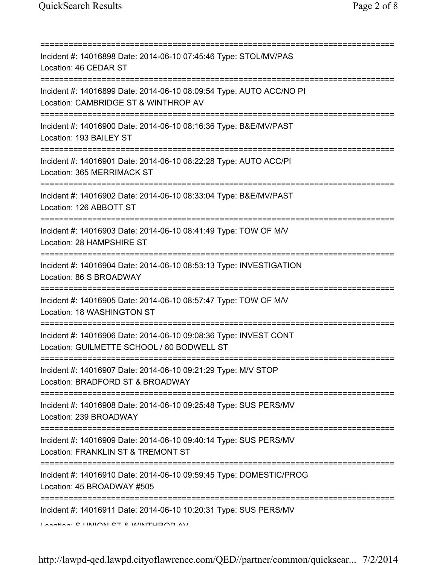=========================================================================== Incident #: 14016898 Date: 2014-06-10 07:45:46 Type: STOL/MV/PAS Location: 46 CEDAR ST =========================================================================== Incident #: 14016899 Date: 2014-06-10 08:09:54 Type: AUTO ACC/NO PI Location: CAMBRIDGE ST & WINTHROP AV =========================================================================== Incident #: 14016900 Date: 2014-06-10 08:16:36 Type: B&E/MV/PAST Location: 193 BAILEY ST =========================================================================== Incident #: 14016901 Date: 2014-06-10 08:22:28 Type: AUTO ACC/PI Location: 365 MERRIMACK ST =========================================================================== Incident #: 14016902 Date: 2014-06-10 08:33:04 Type: B&E/MV/PAST Location: 126 ABBOTT ST =========================================================================== Incident #: 14016903 Date: 2014-06-10 08:41:49 Type: TOW OF M/V Location: 28 HAMPSHIRE ST =========================================================================== Incident #: 14016904 Date: 2014-06-10 08:53:13 Type: INVESTIGATION Location: 86 S BROADWAY =========================================================================== Incident #: 14016905 Date: 2014-06-10 08:57:47 Type: TOW OF M/V Location: 18 WASHINGTON ST =========================================================================== Incident #: 14016906 Date: 2014-06-10 09:08:36 Type: INVEST CONT Location: GUILMETTE SCHOOL / 80 BODWELL ST =========================================================================== Incident #: 14016907 Date: 2014-06-10 09:21:29 Type: M/V STOP Location: BRADFORD ST & BROADWAY =========================================================================== Incident #: 14016908 Date: 2014-06-10 09:25:48 Type: SUS PERS/MV Location: 239 BROADWAY =========================================================================== Incident #: 14016909 Date: 2014-06-10 09:40:14 Type: SUS PERS/MV Location: FRANKLIN ST & TREMONT ST =========================================================================== Incident #: 14016910 Date: 2014-06-10 09:59:45 Type: DOMESTIC/PROG Location: 45 BROADWAY #505 =========================================================================== Incident #: 14016911 Date: 2014-06-10 10:20:31 Type: SUS PERS/MV Location: C UNION CT & WINTHROP AV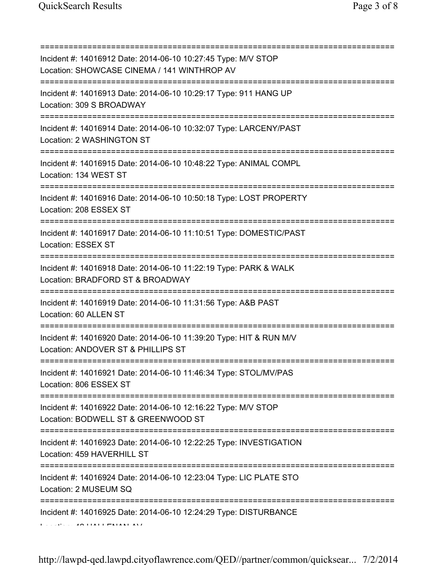| Incident #: 14016912 Date: 2014-06-10 10:27:45 Type: M/V STOP<br>Location: SHOWCASE CINEMA / 141 WINTHROP AV                         |
|--------------------------------------------------------------------------------------------------------------------------------------|
| Incident #: 14016913 Date: 2014-06-10 10:29:17 Type: 911 HANG UP<br>Location: 309 S BROADWAY                                         |
| Incident #: 14016914 Date: 2014-06-10 10:32:07 Type: LARCENY/PAST<br>Location: 2 WASHINGTON ST                                       |
| Incident #: 14016915 Date: 2014-06-10 10:48:22 Type: ANIMAL COMPL<br>Location: 134 WEST ST                                           |
| Incident #: 14016916 Date: 2014-06-10 10:50:18 Type: LOST PROPERTY<br>Location: 208 ESSEX ST<br>==================================== |
| Incident #: 14016917 Date: 2014-06-10 11:10:51 Type: DOMESTIC/PAST<br>Location: ESSEX ST                                             |
| Incident #: 14016918 Date: 2014-06-10 11:22:19 Type: PARK & WALK<br>Location: BRADFORD ST & BROADWAY                                 |
| :==========<br>Incident #: 14016919 Date: 2014-06-10 11:31:56 Type: A&B PAST<br>Location: 60 ALLEN ST                                |
| Incident #: 14016920 Date: 2014-06-10 11:39:20 Type: HIT & RUN M/V<br>Location: ANDOVER ST & PHILLIPS ST                             |
| Incident #: 14016921 Date: 2014-06-10 11:46:34 Type: STOL/MV/PAS<br>Location: 806 ESSEX ST                                           |
| Incident #: 14016922 Date: 2014-06-10 12:16:22 Type: M/V STOP<br>Location: BODWELL ST & GREENWOOD ST                                 |
| Incident #: 14016923 Date: 2014-06-10 12:22:25 Type: INVESTIGATION<br>Location: 459 HAVERHILL ST                                     |
| Incident #: 14016924 Date: 2014-06-10 12:23:04 Type: LIC PLATE STO<br>Location: 2 MUSEUM SQ                                          |
| Incident #: 14016925 Date: 2014-06-10 12:24:29 Type: DISTURBANCE                                                                     |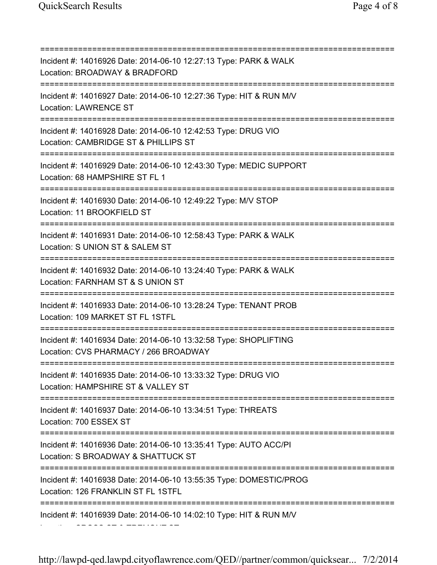=========================================================================== Incident #: 14016926 Date: 2014-06-10 12:27:13 Type: PARK & WALK Location: BROADWAY & BRADFORD =========================================================================== Incident #: 14016927 Date: 2014-06-10 12:27:36 Type: HIT & RUN M/V Location: LAWRENCE ST =========================================================================== Incident #: 14016928 Date: 2014-06-10 12:42:53 Type: DRUG VIO Location: CAMBRIDGE ST & PHILLIPS ST =========================================================================== Incident #: 14016929 Date: 2014-06-10 12:43:30 Type: MEDIC SUPPORT Location: 68 HAMPSHIRE ST FL 1 =========================================================================== Incident #: 14016930 Date: 2014-06-10 12:49:22 Type: M/V STOP Location: 11 BROOKFIELD ST =========================================================================== Incident #: 14016931 Date: 2014-06-10 12:58:43 Type: PARK & WALK Location: S UNION ST & SALEM ST =========================================================================== Incident #: 14016932 Date: 2014-06-10 13:24:40 Type: PARK & WALK Location: FARNHAM ST & S UNION ST =========================================================================== Incident #: 14016933 Date: 2014-06-10 13:28:24 Type: TENANT PROB Location: 109 MARKET ST FL 1STFL =========================================================================== Incident #: 14016934 Date: 2014-06-10 13:32:58 Type: SHOPLIFTING Location: CVS PHARMACY / 266 BROADWAY =========================================================================== Incident #: 14016935 Date: 2014-06-10 13:33:32 Type: DRUG VIO Location: HAMPSHIRE ST & VALLEY ST =========================================================================== Incident #: 14016937 Date: 2014-06-10 13:34:51 Type: THREATS Location: 700 ESSEX ST =========================================================================== Incident #: 14016936 Date: 2014-06-10 13:35:41 Type: AUTO ACC/PI Location: S BROADWAY & SHATTUCK ST =========================================================================== Incident #: 14016938 Date: 2014-06-10 13:55:35 Type: DOMESTIC/PROG Location: 126 FRANKLIN ST FL 1STFL =========================================================================== Incident #: 14016939 Date: 2014-06-10 14:02:10 Type: HIT & RUN M/V Location: CROSS ST & TREMONT ST.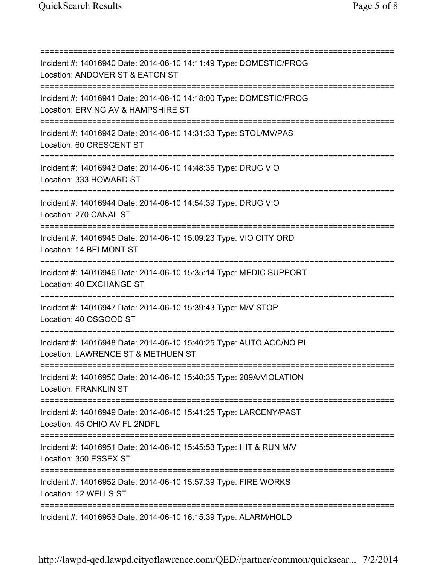=========================================================================== Incident #: 14016940 Date: 2014-06-10 14:11:49 Type: DOMESTIC/PROG Location: ANDOVER ST & EATON ST =========================================================================== Incident #: 14016941 Date: 2014-06-10 14:18:00 Type: DOMESTIC/PROG Location: ERVING AV & HAMPSHIRE ST =========================================================================== Incident #: 14016942 Date: 2014-06-10 14:31:33 Type: STOL/MV/PAS Location: 60 CRESCENT ST =========================================================================== Incident #: 14016943 Date: 2014-06-10 14:48:35 Type: DRUG VIO Location: 333 HOWARD ST =========================================================================== Incident #: 14016944 Date: 2014-06-10 14:54:39 Type: DRUG VIO Location: 270 CANAL ST =========================================================================== Incident #: 14016945 Date: 2014-06-10 15:09:23 Type: VIO CITY ORD Location: 14 BELMONT ST =========================================================================== Incident #: 14016946 Date: 2014-06-10 15:35:14 Type: MEDIC SUPPORT Location: 40 EXCHANGE ST =========================================================================== Incident #: 14016947 Date: 2014-06-10 15:39:43 Type: M/V STOP Location: 40 OSGOOD ST =========================================================================== Incident #: 14016948 Date: 2014-06-10 15:40:25 Type: AUTO ACC/NO PI Location: LAWRENCE ST & METHUEN ST =========================================================================== Incident #: 14016950 Date: 2014-06-10 15:40:35 Type: 209A/VIOLATION Location: FRANKLIN ST =========================================================================== Incident #: 14016949 Date: 2014-06-10 15:41:25 Type: LARCENY/PAST Location: 45 OHIO AV FL 2NDFL =========================================================================== Incident #: 14016951 Date: 2014-06-10 15:45:53 Type: HIT & RUN M/V Location: 350 ESSEX ST =========================================================================== Incident #: 14016952 Date: 2014-06-10 15:57:39 Type: FIRE WORKS Location: 12 WELLS ST =========================================================================== Incident #: 14016953 Date: 2014-06-10 16:15:39 Type: ALARM/HOLD

http://lawpd-qed.lawpd.cityoflawrence.com/QED//partner/common/quicksear... 7/2/2014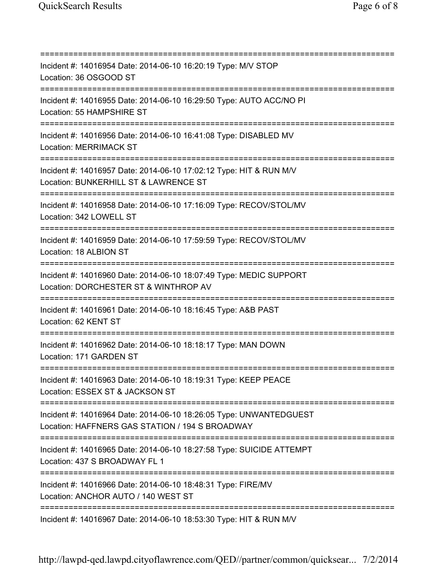=========================================================================== Incident #: 14016954 Date: 2014-06-10 16:20:19 Type: M/V STOP Location: 36 OSGOOD ST =========================================================================== Incident #: 14016955 Date: 2014-06-10 16:29:50 Type: AUTO ACC/NO PI Location: 55 HAMPSHIRE ST =========================================================================== Incident #: 14016956 Date: 2014-06-10 16:41:08 Type: DISABLED MV Location: MERRIMACK ST =========================================================================== Incident #: 14016957 Date: 2014-06-10 17:02:12 Type: HIT & RUN M/V Location: BUNKERHILL ST & LAWRENCE ST =========================================================================== Incident #: 14016958 Date: 2014-06-10 17:16:09 Type: RECOV/STOL/MV Location: 342 LOWELL ST =========================================================================== Incident #: 14016959 Date: 2014-06-10 17:59:59 Type: RECOV/STOL/MV Location: 18 ALBION ST =========================================================================== Incident #: 14016960 Date: 2014-06-10 18:07:49 Type: MEDIC SUPPORT Location: DORCHESTER ST & WINTHROP AV =========================================================================== Incident #: 14016961 Date: 2014-06-10 18:16:45 Type: A&B PAST Location: 62 KENT ST =========================================================================== Incident #: 14016962 Date: 2014-06-10 18:18:17 Type: MAN DOWN Location: 171 GARDEN ST =========================================================================== Incident #: 14016963 Date: 2014-06-10 18:19:31 Type: KEEP PEACE Location: ESSEX ST & JACKSON ST =========================================================================== Incident #: 14016964 Date: 2014-06-10 18:26:05 Type: UNWANTEDGUEST Location: HAFFNERS GAS STATION / 194 S BROADWAY =========================================================================== Incident #: 14016965 Date: 2014-06-10 18:27:58 Type: SUICIDE ATTEMPT Location: 437 S BROADWAY FL 1 =========================================================================== Incident #: 14016966 Date: 2014-06-10 18:48:31 Type: FIRE/MV Location: ANCHOR AUTO / 140 WEST ST =========================================================================== Incident #: 14016967 Date: 2014-06-10 18:53:30 Type: HIT & RUN M/V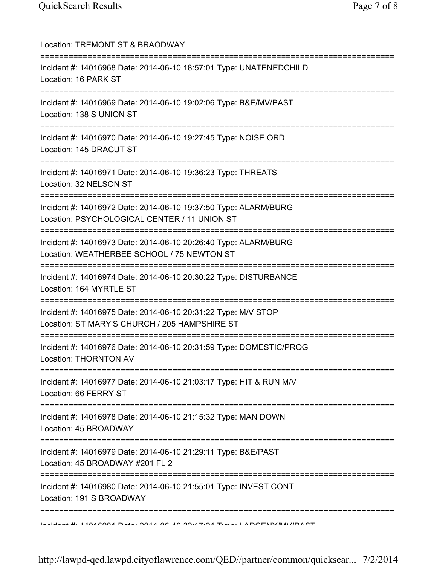| Location: TREMONT ST & BRAODWAY                                                                                                                     |
|-----------------------------------------------------------------------------------------------------------------------------------------------------|
| Incident #: 14016968 Date: 2014-06-10 18:57:01 Type: UNATENEDCHILD<br>Location: 16 PARK ST                                                          |
| Incident #: 14016969 Date: 2014-06-10 19:02:06 Type: B&E/MV/PAST<br>Location: 138 S UNION ST                                                        |
| Incident #: 14016970 Date: 2014-06-10 19:27:45 Type: NOISE ORD<br>Location: 145 DRACUT ST<br>;=====================================                 |
| Incident #: 14016971 Date: 2014-06-10 19:36:23 Type: THREATS<br>Location: 32 NELSON ST                                                              |
| Incident #: 14016972 Date: 2014-06-10 19:37:50 Type: ALARM/BURG<br>Location: PSYCHOLOGICAL CENTER / 11 UNION ST<br>================================ |
| Incident #: 14016973 Date: 2014-06-10 20:26:40 Type: ALARM/BURG<br>Location: WEATHERBEE SCHOOL / 75 NEWTON ST                                       |
| Incident #: 14016974 Date: 2014-06-10 20:30:22 Type: DISTURBANCE<br>Location: 164 MYRTLE ST                                                         |
| Incident #: 14016975 Date: 2014-06-10 20:31:22 Type: M/V STOP<br>Location: ST MARY'S CHURCH / 205 HAMPSHIRE ST                                      |
| Incident #: 14016976 Date: 2014-06-10 20:31:59 Type: DOMESTIC/PROG<br>Location: THORNTON AV                                                         |
| Incident #: 14016977 Date: 2014-06-10 21:03:17 Type: HIT & RUN M/V<br>Location: 66 FERRY ST                                                         |
| Incident #: 14016978 Date: 2014-06-10 21:15:32 Type: MAN DOWN<br>Location: 45 BROADWAY                                                              |
| Incident #: 14016979 Date: 2014-06-10 21:29:11 Type: B&E/PAST<br>Location: 45 BROADWAY #201 FL 2                                                    |
| =============<br>Incident #: 14016980 Date: 2014-06-10 21:55:01 Type: INVEST CONT<br>Location: 191 S BROADWAY                                       |
| Incident #: 11012001 Deta: 2011 02:10 20:17:21 Tune: I ADOENIV/AN//DACT                                                                             |